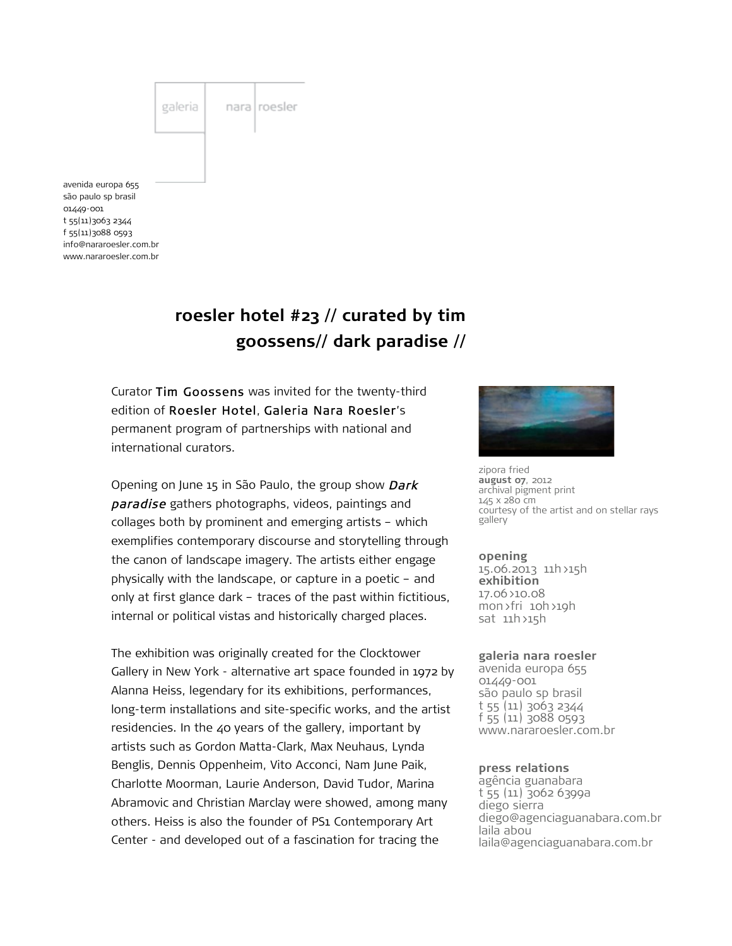

# **roesler hotel #23 // curated by tim goossens// dark paradise //**

Curator Tim Goossens was invited for the twenty-third edition of Roesler Hotel, Galeria Nara Roesler's permanent program of partnerships with national and international curators.

Opening on June 15 in São Paulo, the group show Dark paradise gathers photographs, videos, paintings and collages both by prominent and emerging artists – which exemplifies contemporary discourse and storytelling through the canon of landscape imagery. The artists either engage physically with the landscape, or capture in a poetic – and only at first glance dark – traces of the past within fictitious, internal or political vistas and historically charged places.

The exhibition was originally created for the Clocktower Gallery in New York - alternative art space founded in 1972 by Alanna Heiss, legendary for its exhibitions, performances, long-term installations and site-specific works, and the artist residencies. In the 40 years of the gallery, important by artists such as Gordon Matta-Clark, Max Neuhaus, Lynda Benglis, Dennis Oppenheim, Vito Acconci, Nam June Paik, Charlotte Moorman, Laurie Anderson, David Tudor, Marina Abramovic and Christian Marclay were showed, among many others. Heiss is also the founder of PS1 Contemporary Art Center - and developed out of a fascination for tracing the



zipora fried **august 07**, 2012 archival pigment print 145 x 280 cm courtesy of the artist and on stellar rays gallery

**opening** 15.06.2013 11h>15h **exhibition** 17.06>10.08 mon>fri 10h>19h sat 11h>15h

#### **galeria nara roesler**

avenida europa 655 01449-001 são paulo sp brasil t 55 (11) 3063 2344 f 55 (11) 3088 0593 www.nararoesler.com.br

#### **press relations**

agência guanabara t 55 (11) 3062 6399a diego sierra diego@agenciaguanabara.com.br laila abou laila@agenciaguanabara.com.br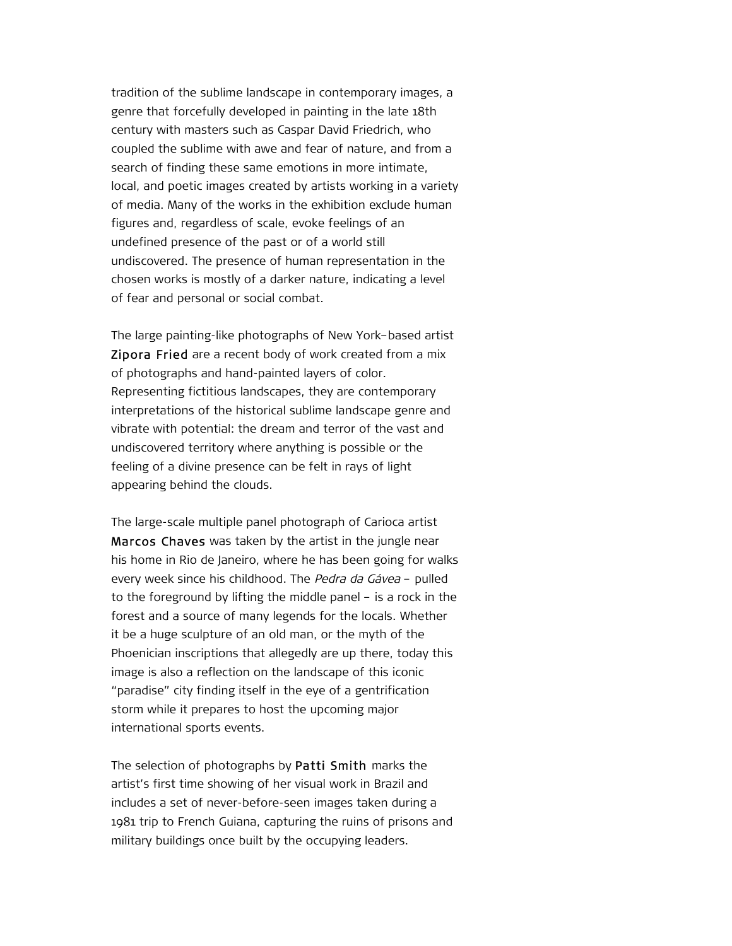tradition of the sublime landscape in contemporary images, a genre that forcefully developed in painting in the late 18th century with masters such as Caspar David Friedrich, who coupled the sublime with awe and fear of nature, and from a search of finding these same emotions in more intimate, local, and poetic images created by artists working in a variety of media. Many of the works in the exhibition exclude human figures and, regardless of scale, evoke feelings of an undefined presence of the past or of a world still undiscovered. The presence of human representation in the chosen works is mostly of a darker nature, indicating a level of fear and personal or social combat.

The large painting-like photographs of New York–based artist Zipora Fried are a recent body of work created from a mix of photographs and hand-painted layers of color. Representing fictitious landscapes, they are contemporary interpretations of the historical sublime landscape genre and vibrate with potential: the dream and terror of the vast and undiscovered territory where anything is possible or the feeling of a divine presence can be felt in rays of light appearing behind the clouds.

The large-scale multiple panel photograph of Carioca artist Marcos Chaves was taken by the artist in the jungle near his home in Rio de Janeiro, where he has been going for walks every week since his childhood. The Pedra da Gávea – pulled to the foreground by lifting the middle panel – is a rock in the forest and a source of many legends for the locals. Whether it be a huge sculpture of an old man, or the myth of the Phoenician inscriptions that allegedly are up there, today this image is also a reflection on the landscape of this iconic "paradise" city finding itself in the eye of a gentrification storm while it prepares to host the upcoming major international sports events.

The selection of photographs by Patti Smith marks the artist's first time showing of her visual work in Brazil and includes a set of never-before-seen images taken during a 1981 trip to French Guiana, capturing the ruins of prisons and military buildings once built by the occupying leaders.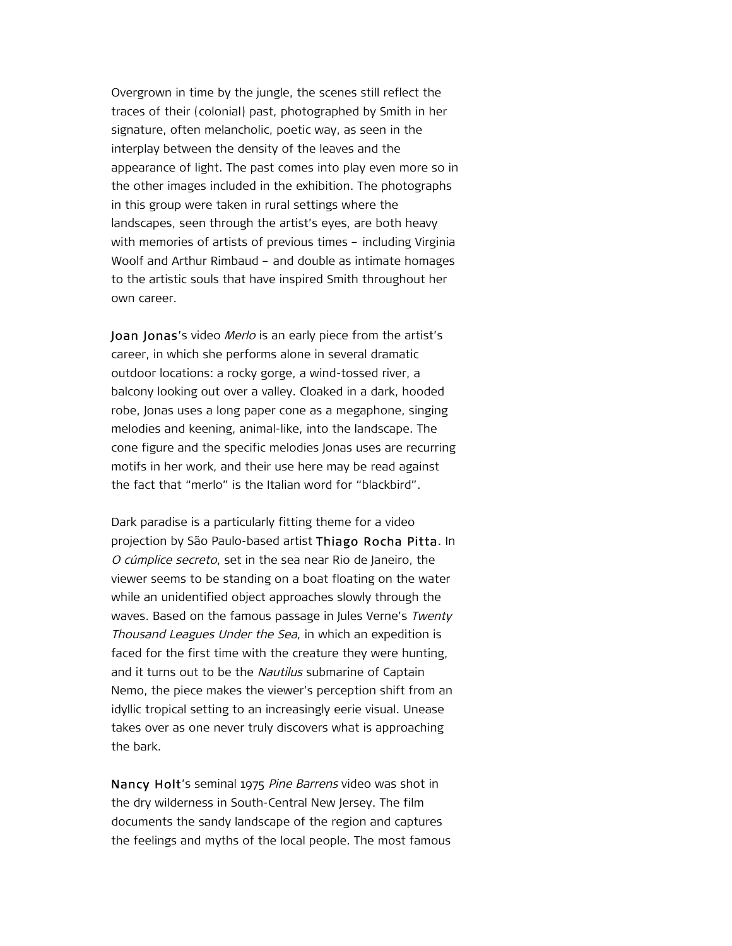Overgrown in time by the jungle, the scenes still reflect the traces of their (colonial) past, photographed by Smith in her signature, often melancholic, poetic way, as seen in the interplay between the density of the leaves and the appearance of light. The past comes into play even more so in the other images included in the exhibition. The photographs in this group were taken in rural settings where the landscapes, seen through the artist's eyes, are both heavy with memories of artists of previous times – including Virginia Woolf and Arthur Rimbaud – and double as intimate homages to the artistic souls that have inspired Smith throughout her own career.

Joan Jonas's video Merlo is an early piece from the artist's career, in which she performs alone in several dramatic outdoor locations: a rocky gorge, a wind-tossed river, a balcony looking out over a valley. Cloaked in a dark, hooded robe, Jonas uses a long paper cone as a megaphone, singing melodies and keening, animal-like, into the landscape. The cone figure and the specific melodies Jonas uses are recurring motifs in her work, and their use here may be read against the fact that "merlo" is the Italian word for "blackbird".

Dark paradise is a particularly fitting theme for a video projection by São Paulo-based artist Thiago Rocha Pitta. In O cúmplice secreto, set in the sea near Rio de Janeiro, the viewer seems to be standing on a boat floating on the water while an unidentified object approaches slowly through the waves. Based on the famous passage in Jules Verne's Twenty Thousand Leagues Under the Sea, in which an expedition is faced for the first time with the creature they were hunting, and it turns out to be the Nautilus submarine of Captain Nemo, the piece makes the viewer's perception shift from an idyllic tropical setting to an increasingly eerie visual. Unease takes over as one never truly discovers what is approaching the bark.

Nancy Holt's seminal 1975 Pine Barrens video was shot in the dry wilderness in South-Central New Jersey. The film documents the sandy landscape of the region and captures the feelings and myths of the local people. The most famous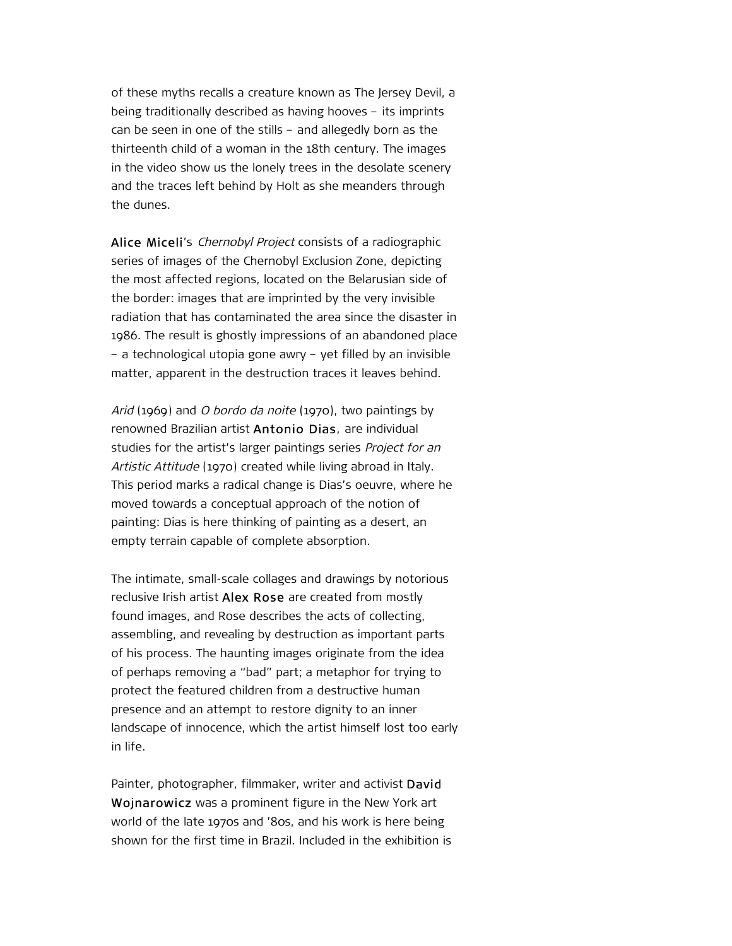of these myths recalls a creature known as The Jersey Devil, a being traditionally described as having hooves – its imprints can be seen in one of the stills – and allegedly born as the thirteenth child of a woman in the 18th century. The images in the video show us the lonely trees in the desolate scenery and the traces left behind by Holt as she meanders through the dunes.

Alice Miceli's Chernobyl Project consists of a radiographic series of images of the Chernobyl Exclusion Zone, depicting the most affected regions, located on the Belarusian side of the border: images that are imprinted by the very invisible radiation that has contaminated the area since the disaster in 1986. The result is ghostly impressions of an abandoned place – a technological utopia gone awry – yet filled by an invisible matter, apparent in the destruction traces it leaves behind.

Arid (1969) and O bordo da noite (1970), two paintings by renowned Brazilian artist Antonio Dias, are individual studies for the artist's larger paintings series Project for an Artistic Attitude (1970) created while living abroad in Italy. This period marks a radical change is Dias's oeuvre, where he moved towards a conceptual approach of the notion of painting: Dias is here thinking of painting as a desert, an empty terrain capable of complete absorption.

The intimate, small-scale collages and drawings by notorious reclusive Irish artist Alex Rose are created from mostly found images, and Rose describes the acts of collecting, assembling, and revealing by destruction as important parts of his process. The haunting images originate from the idea of perhaps removing a "bad" part; a metaphor for trying to protect the featured children from a destructive human presence and an attempt to restore dignity to an inner landscape of innocence, which the artist himself lost too early in life.

Painter, photographer, filmmaker, writer and activist David Wojnarowicz was a prominent figure in the New York art world of the late 1970s and '80s, and his work is here being shown for the first time in Brazil. Included in the exhibition is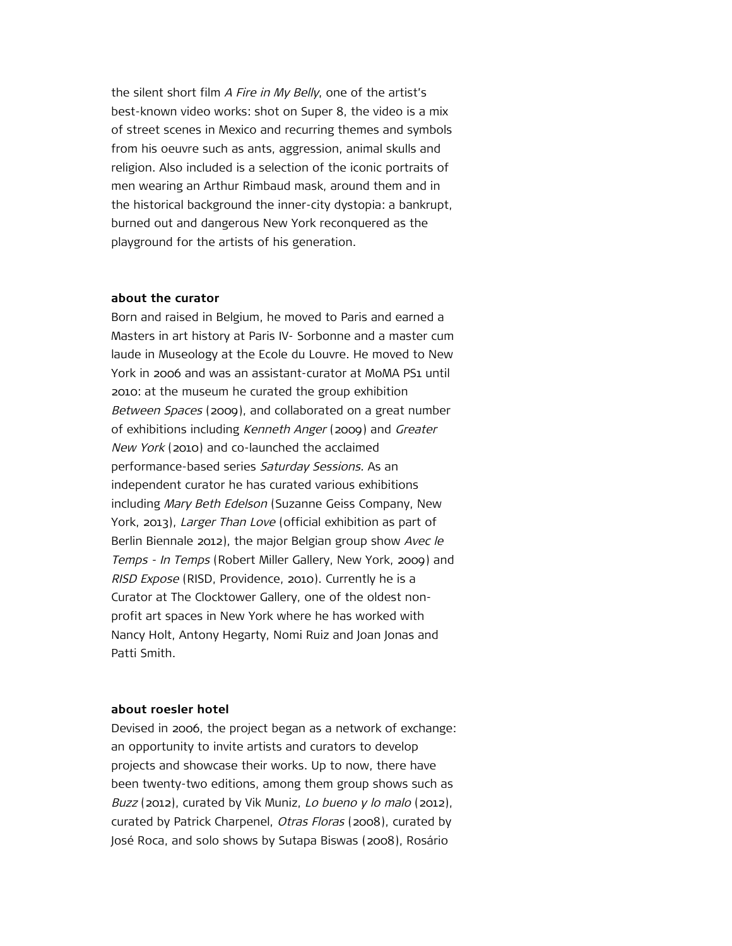the silent short film A Fire in My Belly, one of the artist's best-known video works: shot on Super 8, the video is a mix of street scenes in Mexico and recurring themes and symbols from his oeuvre such as ants, aggression, animal skulls and religion. Also included is a selection of the iconic portraits of men wearing an Arthur Rimbaud mask, around them and in the historical background the inner-city dystopia: a bankrupt, burned out and dangerous New York reconquered as the playground for the artists of his generation.

### **about the curator**

Born and raised in Belgium, he moved to Paris and earned a Masters in art history at Paris IV- Sorbonne and a master cum laude in Museology at the Ecole du Louvre. He moved to New York in 2006 and was an assistant-curator at MoMA PS1 until 2010: at the museum he curated the group exhibition Between Spaces (2009), and collaborated on a great number of exhibitions including Kenneth Anger (2009) and Greater New York (2010) and co-launched the acclaimed performance-based series Saturday Sessions. As an independent curator he has curated various exhibitions including Mary Beth Edelson (Suzanne Geiss Company, New York, 2013), Larger Than Love (official exhibition as part of Berlin Biennale 2012), the major Belgian group show Avec le Temps - In Temps (Robert Miller Gallery, New York, 2009) and RISD Expose (RISD, Providence, 2010). Currently he is a Curator at The Clocktower Gallery, one of the oldest nonprofit art spaces in New York where he has worked with Nancy Holt, Antony Hegarty, Nomi Ruiz and Joan Jonas and Patti Smith.

### **about roesler hotel**

Devised in 2006, the project began as a network of exchange: an opportunity to invite artists and curators to develop projects and showcase their works. Up to now, there have been twenty-two editions, among them group shows such as Buzz (2012), curated by Vik Muniz, Lo bueno y lo malo (2012), curated by Patrick Charpenel, Otras Floras (2008), curated by José Roca, and solo shows by Sutapa Biswas (2008), Rosário